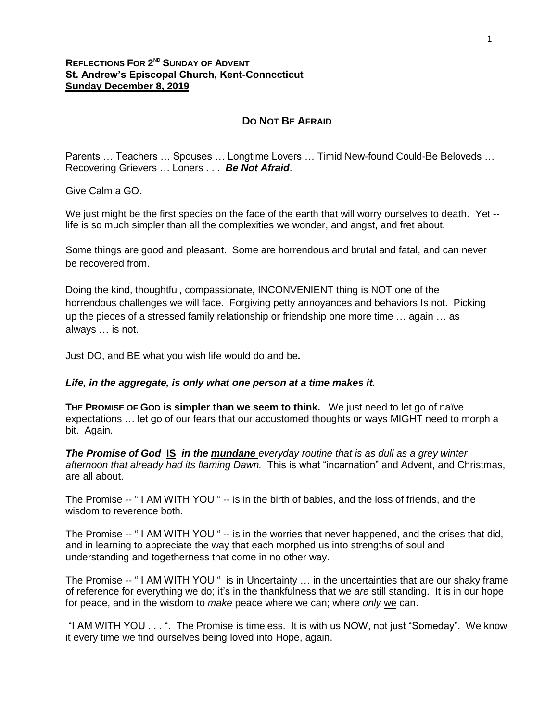## **REFLECTIONS FOR 2 ND SUNDAY OF ADVENT St. Andrew's Episcopal Church, Kent-Connecticut Sunday December 8, 2019**

## **DO NOT BE AFRAID**

Parents … Teachers … Spouses … Longtime Lovers … Timid New-found Could-Be Beloveds … Recovering Grievers … Loners . . . *Be Not Afraid*.

Give Calm a GO.

We just might be the first species on the face of the earth that will worry ourselves to death. Yet -life is so much simpler than all the complexities we wonder, and angst, and fret about.

Some things are good and pleasant. Some are horrendous and brutal and fatal, and can never be recovered from.

Doing the kind, thoughtful, compassionate, INCONVENIENT thing is NOT one of the horrendous challenges we will face. Forgiving petty annoyances and behaviors Is not. Picking up the pieces of a stressed family relationship or friendship one more time … again … as always … is not.

Just DO, and BE what you wish life would do and be*.* 

## *Life, in the aggregate, is only what one person at a time makes it.*

**THE PROMISE OF GOD is simpler than we seem to think.** We just need to let go of naïve expectations … let go of our fears that our accustomed thoughts or ways MIGHT need to morph a bit. Again.

*The Promise of God* **IS** *in the mundane everyday routine that is as dull as a grey winter afternoon that already had its flaming Dawn.* This is what "incarnation" and Advent, and Christmas, are all about.

The Promise -- " I AM WITH YOU " -- is in the birth of babies, and the loss of friends, and the wisdom to reverence both.

The Promise -- " I AM WITH YOU " -- is in the worries that never happened, and the crises that did, and in learning to appreciate the way that each morphed us into strengths of soul and understanding and togetherness that come in no other way.

The Promise -- " I AM WITH YOU " is in Uncertainty … in the uncertainties that are our shaky frame of reference for everything we do; it's in the thankfulness that we *are* still standing. It is in our hope for peace, and in the wisdom to *make* peace where we can; where *only* we can.

"I AM WITH YOU . . . ". The Promise is timeless. It is with us NOW, not just "Someday". We know it every time we find ourselves being loved into Hope, again.